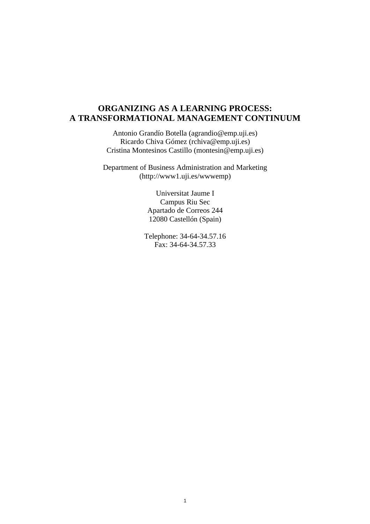# **ORGANIZING AS A LEARNING PROCESS: A TRANSFORMATIONAL MANAGEMENT CONTINUUM**

Antonio Grandío Botella (agrandio@emp.uji.es) Ricardo Chiva Gómez (rchiva@emp.uji.es) Cristina Montesinos Castillo (montesin@emp.uji.es)

Department of Business Administration and Marketing (http://www1.uji.es/wwwemp)

> Universitat Jaume I Campus Riu Sec Apartado de Correos 244 12080 Castellón (Spain)

Telephone: 34-64-34.57.16 Fax: 34-64-34.57.33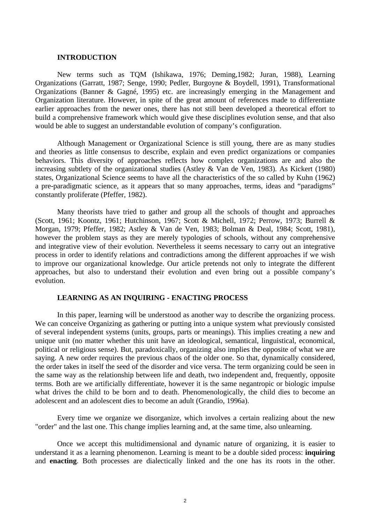#### **INTRODUCTION**

New terms such as TQM (Ishikawa, 1976; Deming,1982; Juran, 1988), Learning Organizations (Garratt, 1987; Senge, 1990; Pedler, Burgoyne & Boydell, 1991), Transformational Organizations (Banner & Gagné, 1995) etc. are increasingly emerging in the Management and Organization literature. However, in spite of the great amount of references made to differentiate earlier approaches from the newer ones, there has not still been developed a theoretical effort to build a comprehensive framework which would give these disciplines evolution sense, and that also would be able to suggest an understandable evolution of company's configuration.

Although Management or Organizational Science is still young, there are as many studies and theories as little consensus to describe, explain and even predict organizations or companies behaviors. This diversity of approaches reflects how complex organizations are and also the increasing subtlety of the organizational studies (Astley & Van de Ven, 1983). As Kickert (1980) states, Organizational Science seems to have all the characteristics of the so called by Kuhn (1962) a pre-paradigmatic science, as it appears that so many approaches, terms, ideas and "paradigms" constantly proliferate (Pfeffer, 1982).

Many theorists have tried to gather and group all the schools of thought and approaches (Scott, 1961; Koontz, 1961; Hutchinson, 1967; Scott & Michell, 1972; Perrow, 1973; Burrell & Morgan, 1979; Pfeffer, 1982; Astley & Van de Ven, 1983; Bolman & Deal, 1984; Scott, 1981), however the problem stays as they are merely typologies of schools, without any comprehensive and integrative view of their evolution. Nevertheless it seems necessary to carry out an integrative process in order to identify relations and contradictions among the different approaches if we wish to improve our organizational knowledge. Our article pretends not only to integrate the different approaches, but also to understand their evolution and even bring out a possible company's evolution.

# **LEARNING AS AN INQUIRING - ENACTING PROCESS**

In this paper, learning will be understood as another way to describe the organizing process. We can conceive Organizing as gathering or putting into a unique system what previously consisted of several independent systems (units, groups, parts or meanings). This implies creating a new and unique unit (no matter whether this unit have an ideological, semantical, linguistical, economical, political or religious sense). But, paradoxically, organizing also implies the opposite of what we are saying. A new order requires the previous chaos of the older one. So that, dynamically considered, the order takes in itself the seed of the disorder and vice versa. The term organizing could be seen in the same way as the relationship between life and death, two independent and, frequently, opposite terms. Both are we artificially differentiate, however it is the same negantropic or biologic impulse what drives the child to be born and to death. Phenomenologically, the child dies to become an adolescent and an adolescent dies to become an adult (Grandío, 1996a).

Every time we organize we disorganize, which involves a certain realizing about the new "order" and the last one. This change implies learning and, at the same time, also unlearning.

Once we accept this multidimensional and dynamic nature of organizing, it is easier to understand it as a learning phenomenon. Learning is meant to be a double sided process: **inquiring** and **enacting**. Both processes are dialectically linked and the one has its roots in the other.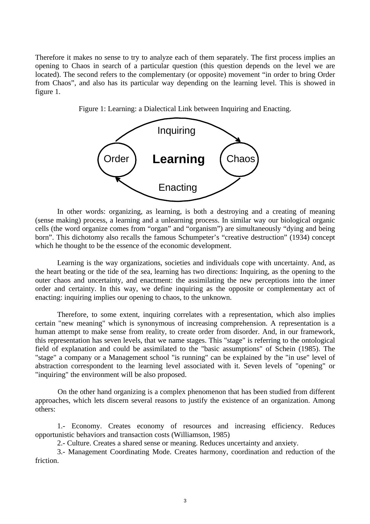Therefore it makes no sense to try to analyze each of them separately. The first process implies an opening to Chaos in search of a particular question (this question depends on the level we are located). The second refers to the complementary (or opposite) movement "in order to bring Order from Chaos", and also has its particular way depending on the learning level. This is showed in figure 1.

Figure 1: Learning: a Dialectical Link between Inquiring and Enacting.



In other words: organizing, as learning, is both a destroying and a creating of meaning (sense making) process, a learning and a unlearning process. In similar way our biological organic cells (the word organize comes from "organ" and "organism") are simultaneously "dying and being born". This dichotomy also recalls the famous Schumpeter's "creative destruction" (1934) concept which he thought to be the essence of the economic development.

Learning is the way organizations, societies and individuals cope with uncertainty. And, as the heart beating or the tide of the sea, learning has two directions: Inquiring, as the opening to the outer chaos and uncertainty, and enactment: the assimilating the new perceptions into the inner order and certainty. In this way, we define inquiring as the opposite or complementary act of enacting: inquiring implies our opening to chaos, to the unknown.

Therefore, to some extent, inquiring correlates with a representation, which also implies certain "new meaning" which is synonymous of increasing comprehension. A representation is a human attempt to make sense from reality, to create order from disorder. And, in our framework, this representation has seven levels, that we name stages. This "stage" is referring to the ontological field of explanation and could be assimilated to the "basic assumptions" of Schein (1985). The "stage" a company or a Management school "is running" can be explained by the "in use" level of abstraction correspondent to the learning level associated with it. Seven levels of "opening" or "inquiring" the environment will be also proposed.

On the other hand organizing is a complex phenomenon that has been studied from different approaches, which lets discern several reasons to justify the existence of an organization. Among others:

1.- Economy. Creates economy of resources and increasing efficiency. Reduces opportunistic behaviors and transaction costs (Williamson, 1985)

2.- Culture. Creates a shared sense or meaning. Reduces uncertainty and anxiety.

3.- Management Coordinating Mode. Creates harmony, coordination and reduction of the friction.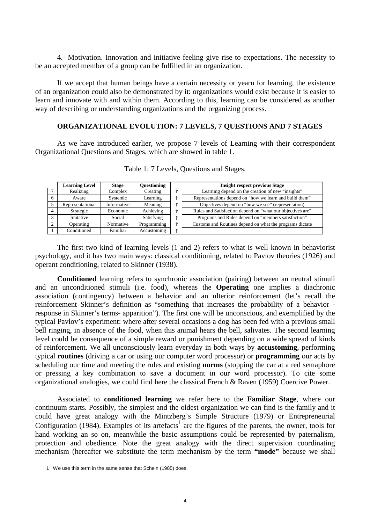4.- Motivation. Innovation and initiative feeling give rise to expectations. The necessity to be an accepted member of a group can be fulfilled in an organization.

If we accept that human beings have a certain necessity or yearn for learning, the existence of an organization could also be demonstrated by it: organizations would exist because it is easier to learn and innovate with and within them. According to this, learning can be considered as another way of describing or understanding organizations and the organizing process.

# **ORGANIZATIONAL EVOLUTION: 7 LEVELS, 7 QUESTIONS AND 7 STAGES**

As we have introduced earlier, we propose 7 levels of Learning with their correspondent Organizational Questions and Stages, which are showed in table 1.

| <b>Learning Level</b> | <b>Stage</b> | Questioning | <b>Insight respect previous Stage</b>                      |
|-----------------------|--------------|-------------|------------------------------------------------------------|
| Realizing             | Complex      | Creating    | Learning depend on the creation of new "insights"          |
| Aware                 | Systemic     | Learning    | Representations depend on "how we learn and build them"    |
| Representational      | Informative  | Meaning     | Objectives depend on "how we see" (representation)         |
| Strategic             | Economic     | Achieving   | Rules and Satisfaction depend on "what our objectives are" |
| Imitative             | Social       | Satisfying  | Programs and Rules depend on "members satisfaction"        |
| Operating             | Normative    | Programming | Customs and Routines depend on what the programs dictate   |
| Conditioned           | Familiar     | Accustoming |                                                            |

Table 1: 7 Levels, Questions and Stages.

The first two kind of learning levels (1 and 2) refers to what is well known in behaviorist psychology, and it has two main ways: classical conditioning, related to Pavlov theories (1926) and operant conditioning, related to Skinner (1938).

**Conditioned** learning refers to synchronic association (pairing) between an neutral stimuli and an unconditioned stimuli (i.e. food), whereas the **Operating** one implies a diachronic association (contingency) between a behavior and an ulterior reinforcement (let's recall the reinforcement Skinner's definition as "something that increases the probability of a behavior response in Skinner's terms- apparition"). The first one will be unconscious, and exemplified by the typical Pavlov's experiment: where after several occasions a dog has been fed with a previous small bell ringing, in absence of the food, when this animal hears the bell, salivates. The second learning level could be consequence of a simple reward or punishment depending on a wide spread of kinds of reinforcement. We all unconsciously learn everyday in both ways by **accustoming**, performing typical **routines** (driving a car or using our computer word processor) or **programming** our acts by scheduling our time and meeting the rules and existing **norms** (stopping the car at a red semaphore or pressing a key combination to save a document in our word processor). To cite some organizational analogies, we could find here the classical French & Raven (1959) Coercive Power.

Associated to **conditioned learning** we refer here to the **Familiar Stage**, where our continuum starts. Possibly, the simplest and the oldest organization we can find is the family and it could have great analogy with the Mintzberg's Simple Structure (1979) or Entrepreneurial Configuration (1984). Examples of its artefacts<sup>1</sup> are the figures of the parents, the owner, tools for hand working an so on, meanwhile the basic assumptions could be represented by paternalism, protection and obedience. Note the great analogy with the direct supervision coordinating mechanism (hereafter we substitute the term mechanism by the term **"mode"** because we shall

 $\overline{a}$ 

<sup>1</sup> We use this term in the same sense that Schein (1985) does.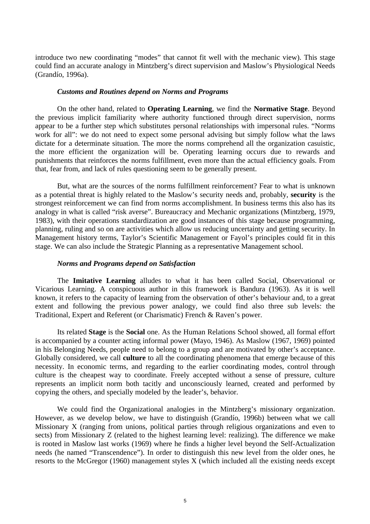introduce two new coordinating "modes" that cannot fit well with the mechanic view). This stage could find an accurate analogy in Mintzberg's direct supervision and Maslow's Physiological Needs (Grandío, 1996a).

#### *Customs and Routines depend on Norms and Programs*

On the other hand, related to **Operating Learning**, we find the **Normative Stage**. Beyond the previous implicit familiarity where authority functioned through direct supervision, norms appear to be a further step which substitutes personal relationships with impersonal rules. "Norms work for all": we do not need to expect some personal advising but simply follow what the laws dictate for a determinate situation. The more the norms comprehend all the organization casuistic, the more efficient the organization will be. Operating learning occurs due to rewards and punishments that reinforces the norms fulfillment, even more than the actual efficiency goals. From that, fear from, and lack of rules questioning seem to be generally present.

But, what are the sources of the norms fulfillment reinforcement? Fear to what is unknown as a potential threat is highly related to the Maslow's security needs and, probably, **security** is the strongest reinforcement we can find from norms accomplishment. In business terms this also has its analogy in what is called "risk averse". Bureaucracy and Mechanic organizations (Mintzberg, 1979, 1983), with their operations standardization are good instances of this stage because programming, planning, ruling and so on are activities which allow us reducing uncertainty and getting security. In Management history terms, Taylor's Scientific Management or Fayol's principles could fit in this stage. We can also include the Strategic Planning as a representative Management school.

#### *Norms and Programs depend on Satisfaction*

The **Imitative Learning** alludes to what it has been called Social, Observational or Vicarious Learning. A conspicuous author in this framework is Bandura (1963). As it is well known, it refers to the capacity of learning from the observation of other's behaviour and, to a great extent and following the previous power analogy, we could find also three sub levels: the Traditional, Expert and Referent (or Charismatic) French & Raven's power.

Its related **Stage** is the **Social** one. As the Human Relations School showed, all formal effort is accompanied by a counter acting informal power (Mayo, 1946). As Maslow (1967, 1969) pointed in his Belonging Needs, people need to belong to a group and are motivated by other's acceptance. Globally considered, we call **culture** to all the coordinating phenomena that emerge because of this necessity. In economic terms, and regarding to the earlier coordinating modes, control through culture is the cheapest way to coordinate. Freely accepted without a sense of pressure, culture represents an implicit norm both tacitly and unconsciously learned, created and performed by copying the others, and specially modeled by the leader's, behavior.

We could find the Organizational analogies in the Mintzberg's missionary organization. However, as we develop below, we have to distinguish (Grandío, 1996b) between what we call Missionary X (ranging from unions, political parties through religious organizations and even to sects) from Missionary Z (related to the highest learning level: realizing). The difference we make is rooted in Maslow last works (1969) where he finds a higher level beyond the Self-Actualization needs (he named "Transcendence"). In order to distinguish this new level from the older ones, he resorts to the McGregor (1960) management styles X (which included all the existing needs except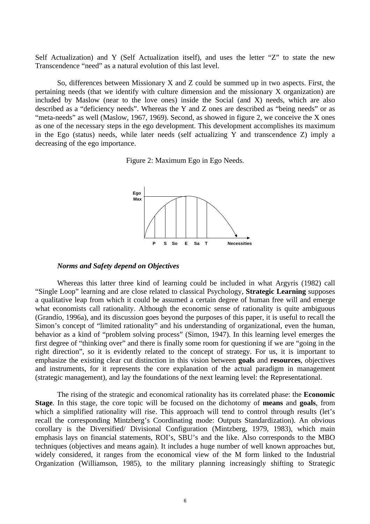Self Actualization) and Y (Self Actualization itself), and uses the letter "Z" to state the new Transcendence "need" as a natural evolution of this last level.

So, differences between Missionary X and Z could be summed up in two aspects. First, the pertaining needs (that we identify with culture dimension and the missionary X organization) are included by Maslow (near to the love ones) inside the Social (and X) needs, which are also described as a "deficiency needs". Whereas the Y and Z ones are described as "being needs" or as "meta-needs" as well (Maslow, 1967, 1969). Second, as showed in figure 2, we conceive the X ones as one of the necessary steps in the ego development. This development accomplishes its maximum in the Ego (status) needs, while later needs (self actualizing Y and transcendence Z) imply a decreasing of the ego importance.

Figure 2: Maximum Ego in Ego Needs.



#### *Norms and Safety depend on Objectives*

Whereas this latter three kind of learning could be included in what Argyris (1982) call "Single Loop" learning and are close related to classical Psychology, **Strategic Learning** supposes a qualitative leap from which it could be assumed a certain degree of human free will and emerge what economists call rationality. Although the economic sense of rationality is quite ambiguous (Grandío, 1996a), and its discussion goes beyond the purposes of this paper, it is useful to recall the Simon's concept of "limited rationality" and his understanding of organizational, even the human, behavior as a kind of "problem solving process" (Simon, 1947). In this learning level emerges the first degree of "thinking over" and there is finally some room for questioning if we are "going in the right direction", so it is evidently related to the concept of strategy. For us, it is important to emphasize the existing clear cut distinction in this vision between **goals** and **resources**, objectives and instruments, for it represents the core explanation of the actual paradigm in management (strategic management), and lay the foundations of the next learning level: the Representational.

The rising of the strategic and economical rationality has its correlated phase: the **Economic Stage**. In this stage, the core topic will be focused on the dichotomy of **means** and **goals**, from which a simplified rationality will rise. This approach will tend to control through results (let's recall the corresponding Mintzberg's Coordinating mode: Outputs Standardization). An obvious corollary is the Diversified/ Divisional Configuration (Mintzberg, 1979, 1983), which main emphasis lays on financial statements, ROI's, SBU's and the like. Also corresponds to the MBO techniques (objectives and means again). It includes a huge number of well known approaches but, widely considered, it ranges from the economical view of the M form linked to the Industrial Organization (Williamson, 1985), to the military planning increasingly shifting to Strategic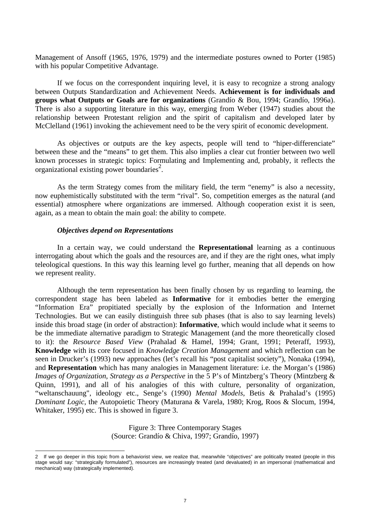Management of Ansoff (1965, 1976, 1979) and the intermediate postures owned to Porter (1985) with his popular Competitive Advantage.

If we focus on the correspondent inquiring level, it is easy to recognize a strong analogy between Outputs Standardization and Achievement Needs. **Achievement is for individuals and groups what Outputs or Goals are for organizations** (Grandío & Bou, 1994; Grandío, 1996a). There is also a supporting literature in this way, emerging from Weber (1947) studies about the relationship between Protestant religion and the spirit of capitalism and developed later by McClelland (1961) invoking the achievement need to be the very spirit of economic development.

As objectives or outputs are the key aspects, people will tend to "hiper-differenciate" between these and the "means" to get them. This also implies a clear cut frontier between two well known processes in strategic topics: Formulating and Implementing and, probably, it reflects the organizational existing power boundaries<sup>2</sup>.

As the term Strategy comes from the military field, the term "enemy" is also a necessity, now euphemistically substituted with the term "rival". So, competition emerges as the natural (and essential) atmosphere where organizations are immersed. Although cooperation exist it is seen, again, as a mean to obtain the main goal: the ability to compete.

## *Objectives depend on Representations*

 $\overline{a}$ 

In a certain way, we could understand the **Representational** learning as a continuous interrogating about which the goals and the resources are, and if they are the right ones, what imply teleological questions. In this way this learning level go further, meaning that all depends on how we represent reality.

Although the term representation has been finally chosen by us regarding to learning, the correspondent stage has been labeled as **Informative** for it embodies better the emerging "Information Era" propitiated specially by the explosion of the Information and Internet Technologies. But we can easily distinguish three sub phases (that is also to say learning levels) inside this broad stage (in order of abstraction): **Informative**, which would include what it seems to be the immediate alternative paradigm to Strategic Management (and the more theoretically closed to it): the *Resource Based View* (Prahalad & Hamel, 1994; Grant, 1991; Peteraff, 1993), **Knowledge** with its core focused in *Knowledge Creation Management* and which reflection can be seen in Drucker's (1993) new approaches (let's recall his "post capitalist society"), Nonaka (1994), and **Representation** which has many analogies in Management literature: i.e. the Morgan's (1986) *Images of Organization*, *Strategy as a Perspective* in the 5 P's of Mintzberg's Theory (Mintzberg & Quinn, 1991), and all of his analogies of this with culture, personality of organization, "weltanschauung", ideology etc., Senge's (1990) *Mental Models*, Betis & Prahalad's (1995) *Dominant Logic*, the Autopoietic Theory (Maturana & Varela, 1980; Krog, Roos & Slocum, 1994, Whitaker, 1995) etc. This is showed in figure 3.

> Figure 3: Three Contemporary Stages (Source: Grandío & Chiva, 1997; Grandío, 1997)

<sup>2</sup> If we go deeper in this topic from a behaviorist view, we realize that, meanwhile "objectives" are politically treated (people in this stage would say: "strategically formulated"), resources are increasingly treated (and devaluated) in an impersonal (mathematical and mechanical) way (strategically implemented).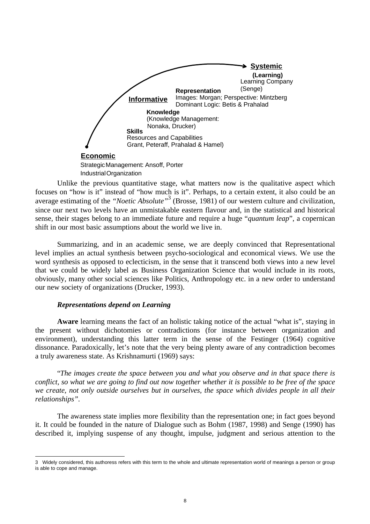

Unlike the previous quantitative stage, what matters now is the qualitative aspect which focuses on "how is it" instead of "how much is it". Perhaps, to a certain extent, it also could be an average estimating of the "*Noetic Absolute*"<sup>3</sup> (Brosse, 1981) of our western culture and civilization, since our next two levels have an unmistakable eastern flavour and, in the statistical and historical sense, their stages belong to an immediate future and require a huge "*quantum leap*", a copernican shift in our most basic assumptions about the world we live in.

Summarizing, and in an academic sense, we are deeply convinced that Representational level implies an actual synthesis between psycho-sociological and economical views. We use the word synthesis as opposed to eclecticism, in the sense that it transcend both views into a new level that we could be widely label as Business Organization Science that would include in its roots, obviously, many other social sciences like Politics, Anthropology etc. in a new order to understand our new society of organizations (Drucker, 1993).

## *Representations depend on Learning*

 $\overline{a}$ 

**Aware** learning means the fact of an holistic taking notice of the actual "what is", staying in the present without dichotomies or contradictions (for instance between organization and environment), understanding this latter term in the sense of the Festinger (1964) cognitive dissonance. Paradoxically, let's note that the very being plenty aware of any contradiction becomes a truly awareness state. As Krishnamurti (1969) says:

"*The images create the space between you and what you observe and in that space there is conflict, so what we are going to find out now together whether it is possible to be free of the space we create, not only outside ourselves but in ourselves, the space which divides people in all their relationships".*

The awareness state implies more flexibility than the representation one; in fact goes beyond it. It could be founded in the nature of Dialogue such as Bohm (1987, 1998) and Senge (1990) has described it, implying suspense of any thought, impulse, judgment and serious attention to the

<sup>3</sup> Widely considered, this authoress refers with this term to the whole and ultimate representation world of meanings a person or group is able to cope and manage.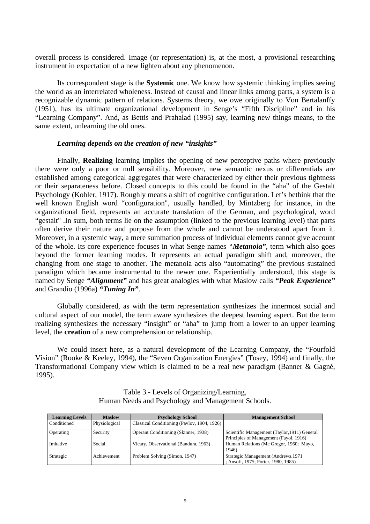overall process is considered. Image (or representation) is, at the most, a provisional researching instrument in expectation of a new lighten about any phenomenon.

Its correspondent stage is the **Systemic** one. We know how systemic thinking implies seeing the world as an interrelated wholeness. Instead of causal and linear links among parts, a system is a recognizable dynamic pattern of relations. Systems theory, we owe originally to Von Bertalanffy (1951), has its ultimate organizational development in Senge's "Fifth Discipline" and in his "Learning Company". And, as Bettis and Prahalad (1995) say, learning new things means, to the same extent, unlearning the old ones.

## *Learning depends on the creation of new "insights"*

Finally, **Realizing** learning implies the opening of new perceptive paths where previously there were only a poor or null sensibility. Moreover, new semantic nexus or differentials are established among categorical aggregates that were characterized by either their previous tightness or their separateness before. Closed concepts to this could be found in the "aha" of the Gestalt Psychology (Kohler, 1917). Roughly means a shift of cognitive configuration. Let's bethink that the well known English word "configuration", usually handled, by Mintzberg for instance, in the organizational field, represents an accurate translation of the German, and psychological, word "gestalt" .In sum, both terms lie on the assumption (linked to the previous learning level) that parts often derive their nature and purpose from the whole and cannot be understood apart from it. Moreover, in a systemic way, a mere summation process of individual elements cannot give account of the whole. Its core experience focuses in what Senge names *"Metanoia"*, term which also goes beyond the former learning modes. It represents an actual paradigm shift and, moreover, the changing from one stage to another. The metanoia acts also "automating" the previous sustained paradigm which became instrumental to the newer one. Experientially understood, this stage is named by Senge *"Alignment"* and has great analogies with what Maslow calls *"Peak Experience"* and Grandío (1996a) *"Tuning In"*.

Globally considered, as with the term representation synthesizes the innermost social and cultural aspect of our model, the term aware synthesizes the deepest learning aspect. But the term realizing synthesizes the necessary "insight" or "aha" to jump from a lower to an upper learning level, the **creation** of a new comprehension or relationship.

We could insert here, as a natural development of the Learning Company, the "Fourfold Vision" (Rooke & Keeley, 1994), the "Seven Organization Energies" (Tosey, 1994) and finally, the Transformational Company view which is claimed to be a real new paradigm (Banner & Gagné, 1995).

| <b>Learning Levels</b><br><b>Maslow</b> |               | <b>Psychology School</b>                    | <b>Management School</b>                                                               |
|-----------------------------------------|---------------|---------------------------------------------|----------------------------------------------------------------------------------------|
| Conditioned                             | Physiological | Classical Conditioning (Pavlov, 1904, 1926) |                                                                                        |
| Operating                               | Security      | Operant Conditioning (Skinner, 1938)        | Scientific Management (Taylor, 1911) General<br>Principles of Management (Fayol, 1916) |
| Imitative                               | Social        | Vicary, Observational (Bandura, 1963)       | Human Relations (Mc Gregor, 1960; Mayo,<br>1946)                                       |
| Strategic                               | Achievement   | Problem Solving (Simon, 1947)               | Strategic Management (Andrews, 1971)<br>; Ansoff, 1975; Porter, 1980, 1985)            |

Table 3.- Levels of Organizing/Learning, Human Needs and Psychology and Management Schools.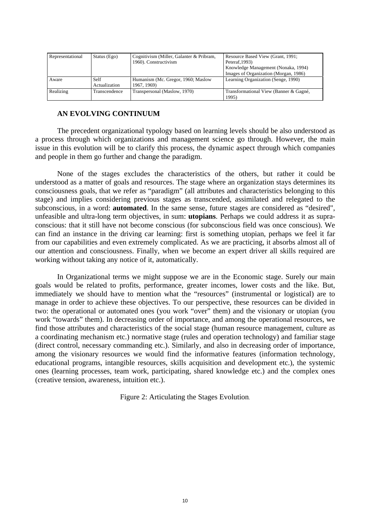| Representational           | Status $(Ego)$        | Cognitivism (Miller, Galanter & Pribram,<br>1960). Constructivism | Resource Based View (Grant, 1991;<br>Peteraf, 1993)<br>Knowledge Management (Nonaka, 1994)<br>Images of Organization (Morgan, 1986) |
|----------------------------|-----------------------|-------------------------------------------------------------------|-------------------------------------------------------------------------------------------------------------------------------------|
| Aware                      | Self<br>Actualization | Humanism (Mc. Gregor, 1960; Maslow<br>1967, 1969)                 | Learning Organization (Senge, 1990)                                                                                                 |
| Realizing<br>Transcendence |                       | Transpersonal (Maslow, 1970)                                      | Transformational View (Banner & Gagné,<br>1995)                                                                                     |

# **AN EVOLVING CONTINUUM**

The precedent organizational typology based on learning levels should be also understood as a process through which organizations and management science go through. However, the main issue in this evolution will be to clarify this process, the dynamic aspect through which companies and people in them go further and change the paradigm.

None of the stages excludes the characteristics of the others, but rather it could be understood as a matter of goals and resources. The stage where an organization stays determines its consciousness goals, that we refer as "paradigm" (all attributes and characteristics belonging to this stage) and implies considering previous stages as transcended, assimilated and relegated to the subconscious, in a word: **automated**. In the same sense, future stages are considered as "desired", unfeasible and ultra-long term objectives, in sum: **utopians**. Perhaps we could address it as supraconscious: that it still have not become conscious (for subconscious field was once conscious). We can find an instance in the driving car learning: first is something utopian, perhaps we feel it far from our capabilities and even extremely complicated. As we are practicing, it absorbs almost all of our attention and consciousness. Finally, when we become an expert driver all skills required are working without taking any notice of it, automatically.

In Organizational terms we might suppose we are in the Economic stage. Surely our main goals would be related to profits, performance, greater incomes, lower costs and the like. But, immediately we should have to mention what the "resources" (instrumental or logistical) are to manage in order to achieve these objectives. To our perspective, these resources can be divided in two: the operational or automated ones (you work "over" them) and the visionary or utopian (you work "towards" them). In decreasing order of importance, and among the operational resources, we find those attributes and characteristics of the social stage (human resource management, culture as a coordinating mechanism etc.) normative stage (rules and operation technology) and familiar stage (direct control, necessary commanding etc.). Similarly, and also in decreasing order of importance, among the visionary resources we would find the informative features (information technology, educational programs, intangible resources, skills acquisition and development etc.), the systemic ones (learning processes, team work, participating, shared knowledge etc.) and the complex ones (creative tension, awareness, intuition etc.).

Figure 2: Articulating the Stages Evolution.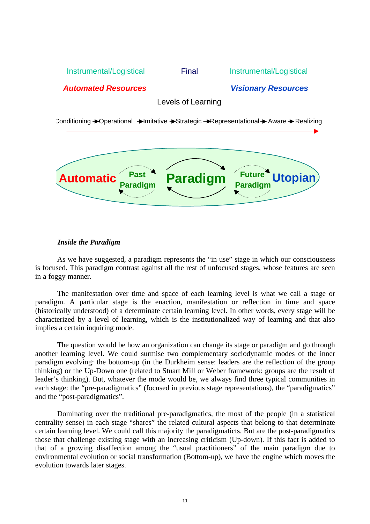

# *Inside the Paradigm*

As we have suggested, a paradigm represents the "in use" stage in which our consciousness is focused. This paradigm contrast against all the rest of unfocused stages, whose features are seen in a foggy manner.

The manifestation over time and space of each learning level is what we call a stage or paradigm. A particular stage is the enaction, manifestation or reflection in time and space (historically understood) of a determinate certain learning level. In other words, every stage will be characterized by a level of learning, which is the institutionalized way of learning and that also implies a certain inquiring mode.

The question would be how an organization can change its stage or paradigm and go through another learning level. We could surmise two complementary sociodynamic modes of the inner paradigm evolving: the bottom-up (in the Durkheim sense: leaders are the reflection of the group thinking) or the Up-Down one (related to Stuart Mill or Weber framework: groups are the result of leader's thinking). But, whatever the mode would be, we always find three typical communities in each stage: the "pre-paradigmatics" (focused in previous stage representations), the "paradigmatics" and the "post-paradigmatics".

Dominating over the traditional pre-paradigmatics, the most of the people (in a statistical centrality sense) in each stage "shares" the related cultural aspects that belong to that determinate certain learning level. We could call this majority the paradigmaticts. But are the post-paradigmatics those that challenge existing stage with an increasing criticism (Up-down). If this fact is added to that of a growing disaffection among the "usual practitioners" of the main paradigm due to environmental evolution or social transformation (Bottom-up), we have the engine which moves the evolution towards later stages.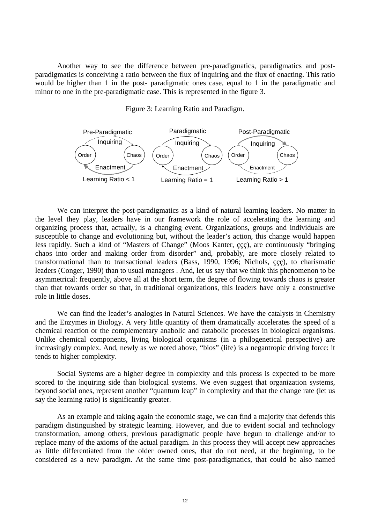Another way to see the difference between pre-paradigmatics, paradigmatics and postparadigmatics is conceiving a ratio between the flux of inquiring and the flux of enacting. This ratio would be higher than 1 in the post- paradigmatic ones case, equal to 1 in the paradigmatic and minor to one in the pre-paradigmatic case. This is represented in the figure 3.



Figure 3: Learning Ratio and Paradigm.

We can interpret the post-paradigmatics as a kind of natural learning leaders. No matter in the level they play, leaders have in our framework the role of accelerating the learning and organizing process that, actually, is a changing event. Organizations, groups and individuals are susceptible to change and evolutioning but, without the leader's action, this change would happen less rapidly. Such a kind of "Masters of Change" (Moos Kanter, ççç), are continuously "bringing chaos into order and making order from disorder" and, probably, are more closely related to transformational than to transactional leaders (Bass, 1990, 1996; Nichols, ççç), to charismatic leaders (Conger, 1990) than to usual managers . And, let us say that we think this phenomenon to be asymmetrical: frequently, above all at the short term, the degree of flowing towards chaos is greater than that towards order so that, in traditional organizations, this leaders have only a constructive role in little doses.

We can find the leader's analogies in Natural Sciences. We have the catalysts in Chemistry and the Enzymes in Biology. A very little quantity of them dramatically accelerates the speed of a chemical reaction or the complementary anabolic and catabolic processes in biological organisms. Unlike chemical components, living biological organisms (in a philogenetical perspective) are increasingly complex. And, newly as we noted above, "bios" (life) is a negantropic driving force: it tends to higher complexity.

Social Systems are a higher degree in complexity and this process is expected to be more scored to the inquiring side than biological systems. We even suggest that organization systems, beyond social ones, represent another "quantum leap" in complexity and that the change rate (let us say the learning ratio) is significantly greater.

As an example and taking again the economic stage, we can find a majority that defends this paradigm distinguished by strategic learning. However, and due to evident social and technology transformation, among others, previous paradigmatic people have begun to challenge and/or to replace many of the axioms of the actual paradigm. In this process they will accept new approaches as little differentiated from the older owned ones, that do not need, at the beginning, to be considered as a new paradigm. At the same time post-paradigmatics, that could be also named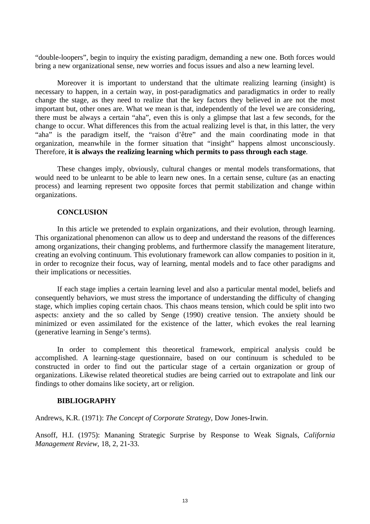"double-loopers", begin to inquiry the existing paradigm, demanding a new one. Both forces would bring a new organizational sense, new worries and focus issues and also a new learning level.

Moreover it is important to understand that the ultimate realizing learning (insight) is necessary to happen, in a certain way, in post-paradigmatics and paradigmatics in order to really change the stage, as they need to realize that the key factors they believed in are not the most important but, other ones are. What we mean is that, independently of the level we are considering, there must be always a certain "aha", even this is only a glimpse that last a few seconds, for the change to occur. What differences this from the actual realizing level is that, in this latter, the very "aha" is the paradigm itself, the "raison d'être" and the main coordinating mode in that organization, meanwhile in the former situation that "insight" happens almost unconsciously. Therefore, **it is always the realizing learning which permits to pass through each stage**.

These changes imply, obviously, cultural changes or mental models transformations, that would need to be unlearnt to be able to learn new ones. In a certain sense, culture (as an enacting process) and learning represent two opposite forces that permit stabilization and change within organizations.

## **CONCLUSION**

In this article we pretended to explain organizations, and their evolution, through learning. This organizational phenomenon can allow us to deep and understand the reasons of the differences among organizations, their changing problems, and furthermore classify the management literature, creating an evolving continuum. This evolutionary framework can allow companies to position in it, in order to recognize their focus, way of learning, mental models and to face other paradigms and their implications or necessities.

If each stage implies a certain learning level and also a particular mental model, beliefs and consequently behaviors, we must stress the importance of understanding the difficulty of changing stage, which implies coping certain chaos. This chaos means tension, which could be split into two aspects: anxiety and the so called by Senge (1990) creative tension. The anxiety should be minimized or even assimilated for the existence of the latter, which evokes the real learning (generative learning in Senge's terms).

In order to complement this theoretical framework, empirical analysis could be accomplished. A learning-stage questionnaire, based on our continuum is scheduled to be constructed in order to find out the particular stage of a certain organization or group of organizations. Likewise related theoretical studies are being carried out to extrapolate and link our findings to other domains like society, art or religion.

#### **BIBLIOGRAPHY**

Andrews, K.R. (1971): *The Concept of Corporate Strategy*, Dow Jones-Irwin.

Ansoff, H.I. (1975): Mananing Strategic Surprise by Response to Weak Signals, *California Management Review*, 18, 2, 21-33.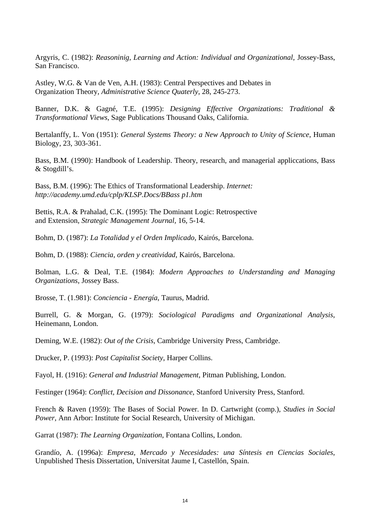Argyris, C. (1982): *Reasoninig, Learning and Action: Individual and Organizational*, Jossey-Bass, San Francisco.

Astley, W.G. & Van de Ven, A.H. (1983): Central Perspectives and Debates in Organization Theory, *Administrative Science Quaterly*, 28, 245-273.

Banner, D.K. & Gagné, T.E. (1995): *Designing Effective Organizations: Traditional & Transformational Views*, Sage Publications Thousand Oaks, California.

Bertalanffy, L. Von (1951): *General Systems Theory: a New Approach to Unity of Science*, Human Biology, 23, 303-361.

Bass, B.M. (1990): Handbook of Leadership. Theory, research, and managerial appliccations, Bass & Stogdill's.

Bass, B.M. (1996): The Ethics of Transformational Leadership. *Internet: http://academy.umd.edu/cplp/KLSP.Docs/BBass p1.htm*

Bettis, R.A. & Prahalad, C.K. (1995): The Dominant Logic: Retrospective and Extension, *Strategic Management Journal,* 16, 5-14.

Bohm, D. (1987): *La Totalidad y el Orden Implicado,* Kairós, Barcelona.

Bohm, D. (1988): *Ciencia, orden y creatividad*, Kairós, Barcelona.

Bolman, L.G. & Deal, T.E. (1984): *Modern Approaches to Understanding and Managing Organizations*, Jossey Bass.

Brosse, T. (1.981): *Conciencia - Energía*, Taurus, Madrid.

Burrell, G. & Morgan, G. (1979): *Sociological Paradigms and Organizational Analysis*, Heinemann, London.

Deming, W.E. (1982): *Out of the Crisis*, Cambridge University Press, Cambridge.

Drucker, P. (1993): *Post Capitalist Society*, Harper Collins.

Fayol, H. (1916): *General and Industrial Management*, Pitman Publishing, London.

Festinger (1964): *Conflict, Decision and Dissonance*, Stanford University Press, Stanford.

French & Raven (1959): The Bases of Social Power. In D. Cartwright (comp.), *Studies in Social Power,* Ann Arbor: Institute for Social Research, University of Michigan.

Garrat (1987): *The Learning Organization*, Fontana Collins, London.

Grandío, A. (1996a): *Empresa, Mercado y Necesidades: una Síntesis en Ciencias Sociales*, Unpublished Thesis Dissertation, Universitat Jaume I, Castellón, Spain.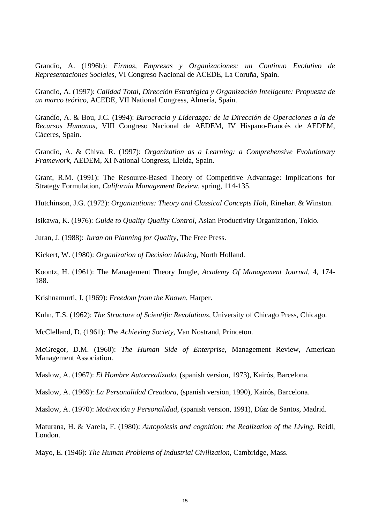Grandío, A. (1996b): *Firmas, Empresas y Organizaciones: un Continuo Evolutivo de Representaciones Sociales*, VI Congreso Nacional de ACEDE, La Coruña, Spain.

Grandío, A. (1997): *Calidad Total, Dirección Estratégica y Organización Inteligente: Propuesta de un marco teórico*, ACEDE, VII National Congress, Almería, Spain.

Grandío, A. & Bou, J.C. (1994): *Burocracia y Liderazgo: de la Dirección de Operaciones a la de Recursos Humanos*, VIII Congreso Nacional de AEDEM, IV Hispano-Francés de AEDEM, Cáceres, Spain.

Grandío, A. & Chiva, R. (1997): *Organization as a Learning: a Comprehensive Evolutionary Framework*, AEDEM, XI National Congress, Lleida, Spain.

Grant, R.M. (1991): The Resource-Based Theory of Competitive Advantage: Implications for Strategy Formulation, *California Management Review,* spring, 114-135.

Hutchinson, J.G. (1972): *Organizations: Theory and Classical Concepts Holt*, Rinehart & Winston.

Isikawa, K. (1976): *Guide to Quality Quality Control*, Asian Productivity Organization, Tokio.

Juran, J. (1988): *Juran on Planning for Quality*, The Free Press.

Kickert, W. (1980): *Organization of Decision Making*, North Holland.

Koontz, H. (1961): The Management Theory Jungle, *Academy Of Management Journal*, 4, 174- 188.

Krishnamurti, J. (1969): *Freedom from the Known*, Harper.

Kuhn, T.S. (1962): *The Structure of Scientific Revolutions*, University of Chicago Press, Chicago.

McClelland, D. (1961): *The Achieving Society*, Van Nostrand, Princeton.

McGregor, D.M. (1960): *The Human Side of Enterprise*, Management Review, American Management Association.

Maslow, A. (1967): *El Hombre Autorrealizado*, (spanish version, 1973), Kairós, Barcelona.

Maslow, A. (1969): *La Personalidad Creadora*, (spanish version, 1990), Kairós, Barcelona.

Maslow, A. (1970): *Motivación y Personalidad*, (spanish version, 1991), Díaz de Santos, Madrid.

Maturana, H. & Varela, F. (1980): *Autopoiesis and cognition: the Realization of the Living*, Reidl, London.

Mayo, E. (1946): *The Human Problems of Industrial Civilization*, Cambridge, Mass.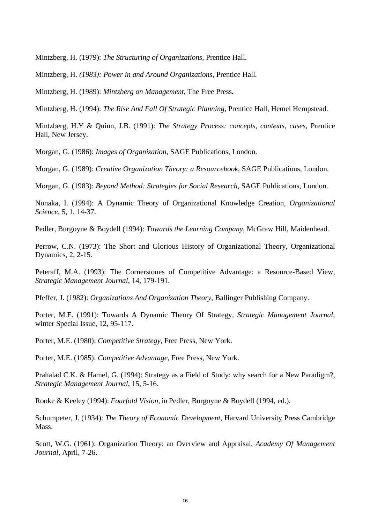Mintzberg, H. (1979): *The Structuring of Organizations*, Prentice Hall.

Mintzberg, H. *(1983): Power in and Around Organizations,* Prentice Hall*.*

Mintzberg, H. (1989): *Mintzberg on Management,* The Free Press**.**

Mintzberg, H. (1994): *The Rise And Fall Of Strategic Planning*, Prentice Hall, Hemel Hempstead.

Mintzberg, H.Y & Quinn, J.B. (1991): *The Strategy Process: concepts, contexts, cases*, Prentice Hall, New Jersey.

Morgan, G. (1986): *Images of Organization*, SAGE Publications, London.

Morgan, G. (1989): *Creative Organization Theory: a Resourcebook*, SAGE Publications, London.

Morgan, G. (1983): *Beyond Method: Strategies for Social Research,* SAGE Publications, London.

Nonaka, I. (1994): A Dynamic Theory of Organizational Knowledge Creation, *Organizational Science*, 5, 1, 14-37.

Pedler, Burgoyne & Boydell (1994): *Towards the Learning Company*, McGraw Hill, Maidenhead.

Perrow, C.N. (1973): The Short and Glorious History of Organizational Theory, Organizational Dynamics, 2, 2-15.

Peteraff, M.A. (1993): The Cornerstones of Competitive Advantage: a Resource-Based View, *Strategic Management Journal*, 14, 179-191.

Pfeffer, J. (1982): *Organizations And Organization Theory*, Ballinger Publishing Company.

Porter, M.E. (1991): Towards A Dynamic Theory Of Strategy, *Strategic Management Journal*, winter Special Issue, 12, 95-117.

Porter, M.E. (1980): *Competitive Strategy*, Free Press, New York.

Porter, M.E. (1985): *Competitive Advantage,* Free Press, New York.

Prahalad C.K. & Hamel, G. (1994): Strategy as a Field of Study: why search for a New Paradigm?, *Strategic Management Journal*, 15, 5-16.

Rooke & Keeley (1994): *Fourfold Vision,* in Pedler, Burgoyne & Boydell (1994, ed.).

Schumpeter, J. (1934): *The Theory of Economic Development*, Harvard University Press Cambridge Mass.

Scott, W.G. (1961): Organization Theory: an Overview and Appraisal, *Academy Of Management Journal*, April, 7-26.